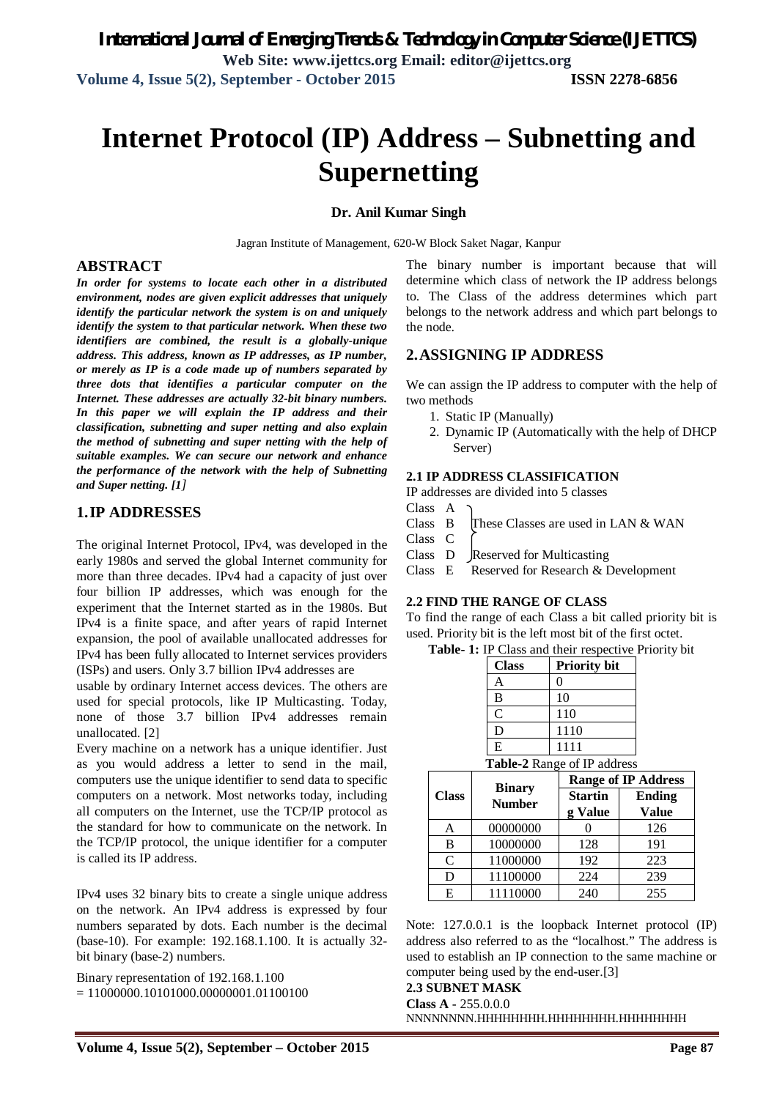# **Internet Protocol (IP) Address – Subnetting and Supernetting**

#### **Dr. Anil Kumar Singh**

Jagran Institute of Management, 620-W Block Saket Nagar, Kanpur

#### **ABSTRACT**

*In order for systems to locate each other in a distributed environment, nodes are given explicit addresses that uniquely identify the particular network the system is on and uniquely identify the system to that particular network. When these two identifiers are combined, the result is a globally-unique address. This address, known as IP addresses, as IP number, or merely as IP is a code made up of numbers separated by three dots that identifies a particular computer on the Internet. These addresses are actually 32-bit binary numbers. In this paper we will explain the IP address and their classification, subnetting and super netting and also explain the method of subnetting and super netting with the help of suitable examples. We can secure our network and enhance the performance of the network with the help of Subnetting and Super netting. [1]*

# **1.IP ADDRESSES**

The original Internet Protocol, IPv4, was developed in the early 1980s and served the global Internet community for more than three decades. IPv4 had a capacity of just over four billion IP addresses, which was enough for the experiment that the Internet started as in the 1980s. But IPv4 is a finite space, and after years of rapid Internet expansion, the pool of available unallocated addresses for IPv4 has been fully allocated to Internet services providers (ISPs) and users. Only 3.7 billion IPv4 addresses are

usable by ordinary Internet access devices. The others are used for special protocols, like IP Multicasting. Today, none of those 3.7 billion IPv4 addresses remain unallocated. [2]

Every machine on a network has a unique identifier. Just as you would address a letter to send in the mail, computers use the unique identifier to send data to specific computers on a network. Most networks today, including all computers on the Internet, use the TCP/IP protocol as the standard for how to communicate on the network. In the TCP/IP protocol, the unique identifier for a computer is called its IP address.

IPv4 uses 32 binary bits to create a single unique address on the network. An IPv4 address is expressed by four numbers separated by dots. Each number is the decimal (base-10). For example: 192.168.1.100. It is actually 32 bit binary (base-2) numbers.

Binary representation of 192.168.1.100  $= 11000000.10101000.00000001.01100100$  The binary number is important because that will determine which class of network the IP address belongs to. The Class of the address determines which part belongs to the network address and which part belongs to the node.

# **2.ASSIGNING IP ADDRESS**

We can assign the IP address to computer with the help of two methods

- 1. Static IP (Manually)
- 2. Dynamic IP (Automatically with the help of DHCP Server)

#### **2.1 IP ADDRESS CLASSIFICATION**

IP addresses are divided into 5 classes

- Class A
- Class  $\quad$  These Classes are used in LAN & WAN
- Class C
- Class D Reserved for Multicasting
- Class E Reserved for Research & Development

#### **2.2 FIND THE RANGE OF CLASS**

To find the range of each Class a bit called priority bit is used. Priority bit is the left most bit of the first octet.

**Table- 1:** IP Class and their respective Priority bit

| <b>Class</b>               | <b>Priority bit</b> |  |  |
|----------------------------|---------------------|--|--|
| А                          | 0                   |  |  |
| B                          | 10                  |  |  |
| $\mathbf C$                | 110                 |  |  |
| D                          | 1110                |  |  |
| E                          | 1111                |  |  |
| ahla 2 Dango of ID address |                     |  |  |

**Table-2** Range of IP address

| <b>Class</b> |                                | <b>Range of IP Address</b> |                               |  |  |
|--------------|--------------------------------|----------------------------|-------------------------------|--|--|
|              | <b>Binary</b><br><b>Number</b> | <b>Startin</b><br>g Value  | <b>Ending</b><br><b>Value</b> |  |  |
| Α            | 00000000                       |                            | 126                           |  |  |
| B            | 10000000                       | 128                        | 191                           |  |  |
| $\mathsf{C}$ | 11000000                       | 192                        | 223                           |  |  |
| D            | 11100000                       | 224                        | 239                           |  |  |
| E            | 11110000                       | 240                        | 255                           |  |  |

Note: 127.0.0.1 is the loopback Internet protocol (IP) address also referred to as the "localhost." The address is used to establish an IP connection to the same machine or computer being used by the end-user.[3]

#### **2.3 SUBNET MASK**

**Class A -** 255.0.0.0 NNNNNNNN.HHHHHHHH.HHHHHHHH.HHHHHHHH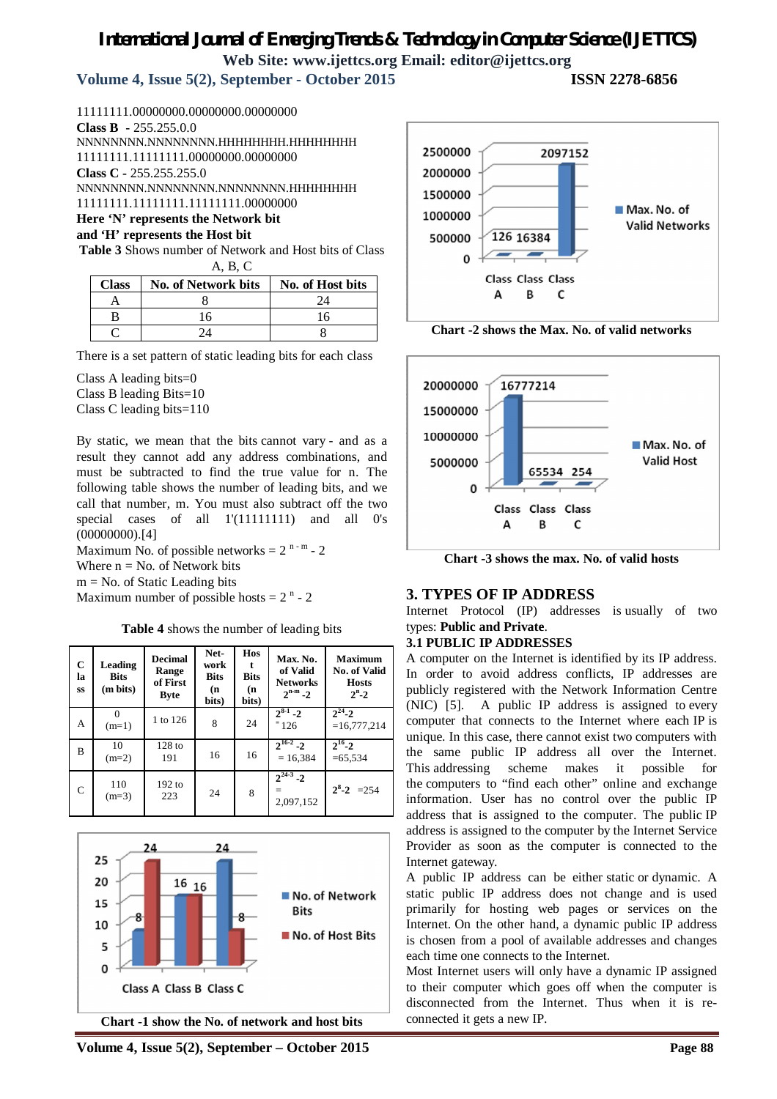# *International Journal of Emerging Trends & Technology in Computer Science (IJETTCS)* **Web Site: www.ijettcs.org Email: editor@ijettcs.org**

**Volume 4, Issue 5(2), September - October 2015 ISSN 2278-6856**

11111111.00000000.00000000.00000000 **Class B -** 255.255.0.0 NNNNNNNN.NNNNNNNN.HHHHHHHH.HHHHHHHH 11111111.11111111.00000000.00000000 **Class C -** 255.255.255.0 NNNNNNNN.NNNNNNNN.NNNNNNNN.HHHHHHHH 11111111.11111111.11111111.00000000

# **Here 'N' represents the Network bit**

**and 'H' represents the Host bit**

**Table 3** Shows number of Network and Host bits of Class A, B, C

| <b>Class</b> | <b>No. of Network bits</b> | No. of Host bits |
|--------------|----------------------------|------------------|
|              |                            | $2\pi$           |
|              |                            | 16               |
|              |                            |                  |

There is a set pattern of static leading bits for each class

Class A leading bits=0

Class B leading Bits=10

Class C leading bits=110

By static, we mean that the bits cannot vary - and as a result they cannot add any address combinations, and must be subtracted to find the true value for n. The following table shows the number of leading bits, and we call that number, m. You must also subtract off the two special cases of all 1'(11111111) and all 0's  $(0000000).[4]$ 

Maximum No. of possible networks =  $2^{n-m}$  -  $2$ 

Where  $n = No$ . of Network bits  $m = No$ . of Static Leading bits

Maximum number of possible hosts  $= 2<sup>n</sup> - 2$ 

**Table 4** shows the number of leading bits

| $\mathbf C$<br>la<br>SS | Leading<br><b>Bits</b><br>(m bits) | <b>Decimal</b><br>Range<br>of First<br><b>Byte</b> | Net-<br>work<br><b>Bits</b><br>(n<br>bits) | Hos<br><b>Bits</b><br>(n<br>bits) | Max. No.<br>of Valid<br><b>Networks</b><br>$2^{n-m} - 2$ | <b>Maximum</b><br>No. of Valid<br><b>Hosts</b><br>$2^n - 2$ |
|-------------------------|------------------------------------|----------------------------------------------------|--------------------------------------------|-----------------------------------|----------------------------------------------------------|-------------------------------------------------------------|
| A                       | $(m=1)$                            | 1 to 126                                           | 8                                          | 24                                | $2^{8-1} - 2$<br>$= 126$                                 | $2^{24} - 2$<br>$=16,777,214$                               |
| B                       | 10<br>$(m=2)$                      | $128$ to<br>191                                    | 16                                         | 16                                | $2^{16-2} - 2$<br>$= 16,384$                             | $2^{16} - 2$<br>$= 65,534$                                  |
| $\mathbf C$             | 110<br>$(m=3)$                     | $192$ to<br>223                                    | 24                                         | 8                                 | $\sqrt{2^{24-3}}$ - 2<br>2,097,152                       | $2^8 - 2 = 254$                                             |







**Chart -2 shows the Max. No. of valid networks**



**Chart -3 shows the max. No. of valid hosts**

# **3. TYPES OF IP ADDRESS**

Internet Protocol (IP) addresses is usually of two types: **Public and Private**.

#### **3.1 PUBLIC IP ADDRESSES**

A computer on the Internet is identified by its IP address. In order to avoid address conflicts, IP addresses are publicly registered with the Network Information Centre (NIC) [5]. A public IP address is assigned to every computer that connects to the Internet where each IP is unique. In this case, there cannot exist two computers with the same public IP address all over the Internet. This addressing scheme makes it possible for the computers to "find each other" online and exchange information. User has no control over the public IP address that is assigned to the computer. The public IP address is assigned to the computer by the Internet Service Provider as soon as the computer is connected to the Internet gateway.

A public IP address can be either static or dynamic. A static public IP address does not change and is used primarily for hosting web pages or services on the Internet. On the other hand, a dynamic public IP address is chosen from a pool of available addresses and changes each time one connects to the Internet.

Most Internet users will only have a dynamic IP assigned to their computer which goes off when the computer is disconnected from the Internet. Thus when it is reconnected it gets a new IP.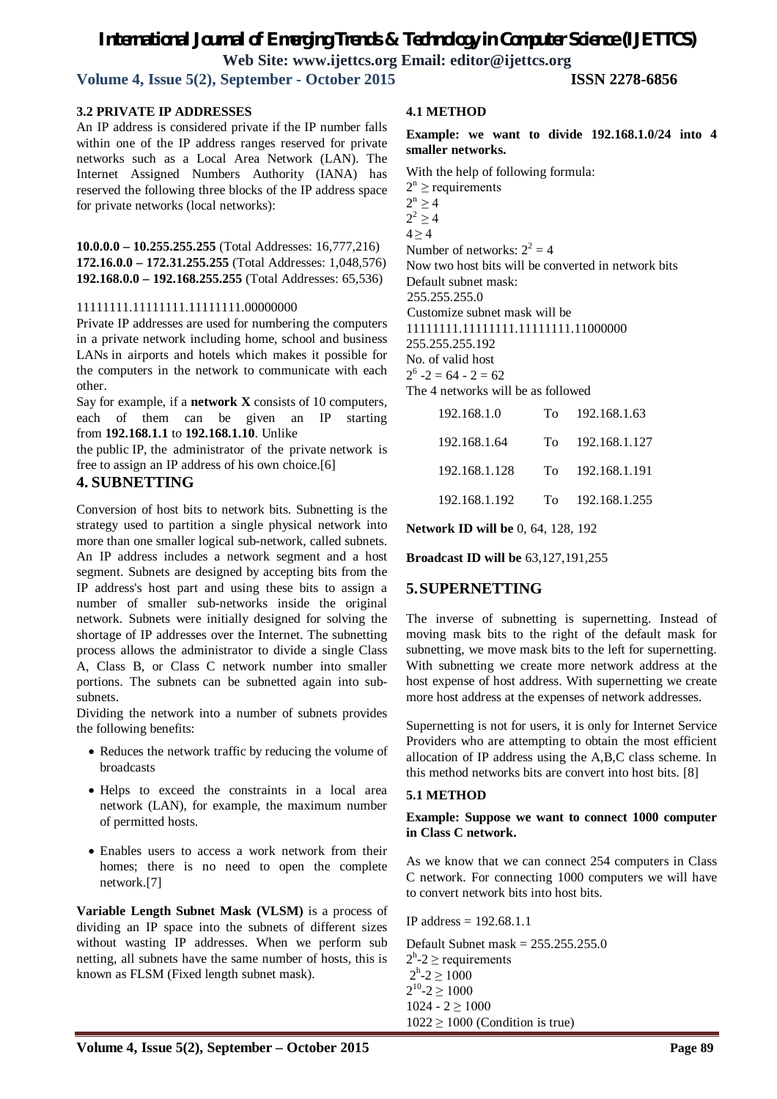# *International Journal of Emerging Trends & Technology in Computer Science (IJETTCS)*

**Web Site: www.ijettcs.org Email: editor@ijettcs.org** 

**Volume 4, Issue 5(2), September - October 2015 ISSN 2278-6856**

#### **3.2 PRIVATE IP ADDRESSES**

An IP address is considered private if the IP number falls within one of the IP address ranges reserved for private networks such as a Local Area Network (LAN). The Internet Assigned Numbers Authority (IANA) has reserved the following three blocks of the IP address space for private networks (local networks):

**10.0.0.0 – 10.255.255.255** (Total Addresses: 16,777,216) **172.16.0.0 – 172.31.255.255** (Total Addresses: 1,048,576) **192.168.0.0 – 192.168.255.255** (Total Addresses: 65,536)

#### 11111111.11111111.11111111.00000000

Private IP addresses are used for numbering the computers in a private network including home, school and business LANs in airports and hotels which makes it possible for the computers in the network to communicate with each other.

Say for example, if a **network X** consists of 10 computers, each of them can be given an IP starting from **192.168.1.1** to **192.168.1.10**. Unlike

the public IP, the administrator of the private network is free to assign an IP address of his own choice.[6]

### **4. SUBNETTING**

Conversion of host bits to network bits. Subnetting is the strategy used to partition a single physical network into more than one smaller logical sub-network, called subnets. An IP address includes a network segment and a host segment. Subnets are designed by accepting bits from the IP address's host part and using these bits to assign a number of smaller sub-networks inside the original network. Subnets were initially designed for solving the shortage of IP addresses over the Internet. The subnetting process allows the administrator to divide a single Class A, Class B, or Class C network number into smaller portions. The subnets can be subnetted again into subsubnets.

Dividing the network into a number of subnets provides the following benefits:

- Reduces the network traffic by reducing the volume of broadcasts
- Helps to exceed the constraints in a local area network (LAN), for example, the maximum number of permitted hosts.
- Enables users to access a work network from their homes; there is no need to open the complete network.[7]

**Variable Length Subnet Mask (VLSM)** is a process of dividing an IP space into the subnets of different sizes without wasting IP addresses. When we perform sub netting, all subnets have the same number of hosts, this is known as FLSM (Fixed length subnet mask).

#### **4.1 METHOD**

**Example: we want to divide 192.168.1.0/24 into 4 smaller networks.**

With the help of following formula:

 $2^n \ge$  requirements  $2^{n} \geq 4$  $2^2 \ge 4$  $4 \geq 4$ Number of networks:  $2^2 = 4$ Now two host bits will be converted in network bits Default subnet mask: 255.255.255.0 Customize subnet mask will be 11111111.11111111.11111111.11000000 255.255.255.192 No. of valid host  $2^6 - 2 = 64 - 2 = 62$ 

The 4 networks will be as followed

| 192.168.1.0   | Tο  | 192.168.1.63  |
|---------------|-----|---------------|
| 192.168.1.64  | Tο  | 192.168.1.127 |
| 192.168.1.128 | To. | 192.168.1.191 |
| 192.168.1.192 | Tο  | 192.168.1.255 |

**Network ID will be** 0, 64, 128, 192

**Broadcast ID will be** 63,127,191,255

# **5.SUPERNETTING**

The inverse of subnetting is supernetting. Instead of moving mask bits to the right of the default mask for subnetting, we move mask bits to the left for supernetting. With subnetting we create more network address at the host expense of host address. With supernetting we create more host address at the expenses of network addresses.

Supernetting is not for users, it is only for Internet Service Providers who are attempting to obtain the most efficient allocation of IP address using the A,B,C class scheme. In this method networks bits are convert into host bits. [8]

#### **5.1 METHOD**

**Example: Suppose we want to connect 1000 computer in Class C network.**

As we know that we can connect 254 computers in Class C network. For connecting 1000 computers we will have to convert network bits into host bits.

IP address = 192.68.1.1

Default Subnet mask = 255.255.255.0  $2<sup>h</sup>$ -2  $\geq$  requirements  $2^{\rm h}$ -2  $\geq 1000$  $2^{10} - 2 \ge 1000$  $1024 - 2 \ge 1000$  $1022 \ge 1000$  (Condition is true)